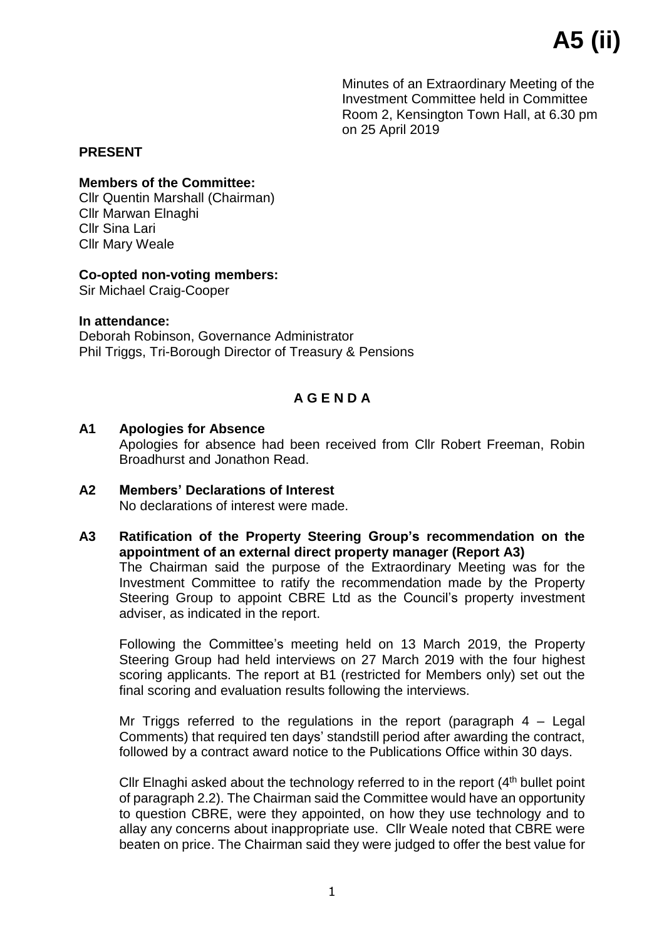Minutes of an Extraordinary Meeting of the Investment Committee held in Committee Room 2, Kensington Town Hall, at 6.30 pm on 25 April 2019

## **PRESENT**

#### **Members of the Committee:**

Cllr Quentin Marshall (Chairman) Cllr Marwan Elnaghi Cllr Sina Lari Cllr Mary Weale

### **Co-opted non-voting members:**

Sir Michael Craig-Cooper

### **In attendance:**

Deborah Robinson, Governance Administrator Phil Triggs, Tri-Borough Director of Treasury & Pensions

# **A G E N D A**

## **A1 Apologies for Absence**

Apologies for absence had been received from Cllr Robert Freeman, Robin Broadhurst and Jonathon Read.

- **A2 Members' Declarations of Interest** No declarations of interest were made.
- **A3 Ratification of the Property Steering Group's recommendation on the appointment of an external direct property manager (Report A3)** The Chairman said the purpose of the Extraordinary Meeting was for the Investment Committee to ratify the recommendation made by the Property Steering Group to appoint CBRE Ltd as the Council's property investment adviser, as indicated in the report.

Following the Committee's meeting held on 13 March 2019, the Property Steering Group had held interviews on 27 March 2019 with the four highest scoring applicants. The report at B1 (restricted for Members only) set out the final scoring and evaluation results following the interviews.

Mr Triggs referred to the regulations in the report (paragraph  $4 -$  Legal Comments) that required ten days' standstill period after awarding the contract, followed by a contract award notice to the Publications Office within 30 days.

Cllr Elnaghi asked about the technology referred to in the report  $(4<sup>th</sup>$  bullet point of paragraph 2.2). The Chairman said the Committee would have an opportunity to question CBRE, were they appointed, on how they use technology and to allay any concerns about inappropriate use. Cllr Weale noted that CBRE were beaten on price. The Chairman said they were judged to offer the best value for